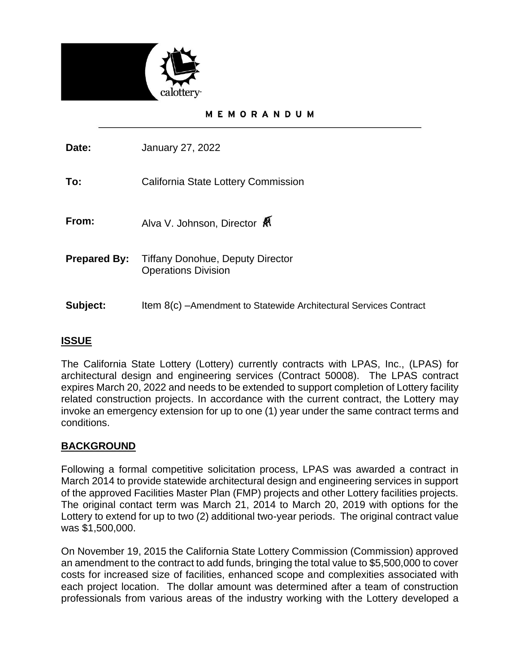

#### MEMORANDUM

**Date:** January 27, 2022

**To:** California State Lottery Commission

**From:** Alva V. Johnson, Director

- **Prepared By:** Tiffany Donohue, Deputy Director Operations Division
- **Subject:** Item 8(c) –Amendment to Statewide Architectural Services Contract

## **ISSUE**

The California State Lottery (Lottery) currently contracts with LPAS, Inc., (LPAS) for architectural design and engineering services (Contract 50008). The LPAS contract expires March 20, 2022 and needs to be extended to support completion of Lottery facility related construction projects. In accordance with the current contract, the Lottery may invoke an emergency extension for up to one (1) year under the same contract terms and conditions.

### **BACKGROUND**

Following a formal competitive solicitation process, LPAS was awarded a contract in March 2014 to provide statewide architectural design and engineering services in support of the approved Facilities Master Plan (FMP) projects and other Lottery facilities projects. The original contact term was March 21, 2014 to March 20, 2019 with options for the Lottery to extend for up to two (2) additional two-year periods. The original contract value was \$1,500,000.

On November 19, 2015 the California State Lottery Commission (Commission) approved an amendment to the contract to add funds, bringing the total value to \$5,500,000 to cover costs for increased size of facilities, enhanced scope and complexities associated with each project location. The dollar amount was determined after a team of construction professionals from various areas of the industry working with the Lottery developed a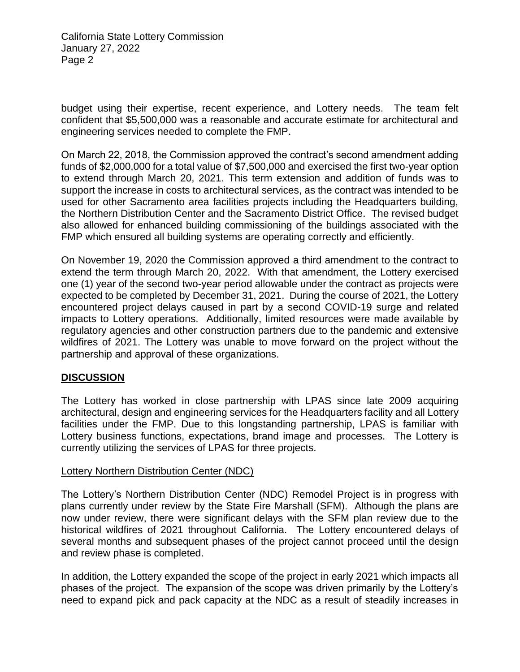California State Lottery Commission January 27, 2022 Page 2

budget using their expertise, recent experience, and Lottery needs. The team felt confident that \$5,500,000 was a reasonable and accurate estimate for architectural and engineering services needed to complete the FMP.

On March 22, 2018, the Commission approved the contract's second amendment adding funds of \$2,000,000 for a total value of \$7,500,000 and exercised the first two-year option to extend through March 20, 2021. This term extension and addition of funds was to support the increase in costs to architectural services, as the contract was intended to be used for other Sacramento area facilities projects including the Headquarters building, the Northern Distribution Center and the Sacramento District Office. The revised budget also allowed for enhanced building commissioning of the buildings associated with the FMP which ensured all building systems are operating correctly and efficiently.

On November 19, 2020 the Commission approved a third amendment to the contract to extend the term through March 20, 2022. With that amendment, the Lottery exercised one (1) year of the second two-year period allowable under the contract as projects were expected to be completed by December 31, 2021. During the course of 2021, the Lottery encountered project delays caused in part by a second COVID-19 surge and related impacts to Lottery operations. Additionally, limited resources were made available by regulatory agencies and other construction partners due to the pandemic and extensive wildfires of 2021. The Lottery was unable to move forward on the project without the partnership and approval of these organizations.

### **DISCUSSION**

The Lottery has worked in close partnership with LPAS since late 2009 acquiring architectural, design and engineering services for the Headquarters facility and all Lottery facilities under the FMP. Due to this longstanding partnership, LPAS is familiar with Lottery business functions, expectations, brand image and processes. The Lottery is currently utilizing the services of LPAS for three projects.

### Lottery Northern Distribution Center (NDC)

The Lottery's Northern Distribution Center (NDC) Remodel Project is in progress with plans currently under review by the State Fire Marshall (SFM). Although the plans are now under review, there were significant delays with the SFM plan review due to the historical wildfires of 2021 throughout California. The Lottery encountered delays of several months and subsequent phases of the project cannot proceed until the design and review phase is completed.

In addition, the Lottery expanded the scope of the project in early 2021 which impacts all phases of the project. The expansion of the scope was driven primarily by the Lottery's need to expand pick and pack capacity at the NDC as a result of steadily increases in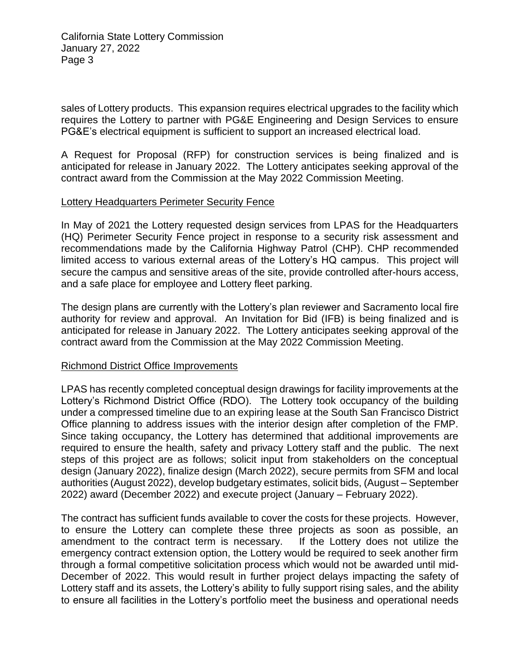California State Lottery Commission January 27, 2022 Page 3

sales of Lottery products. This expansion requires electrical upgrades to the facility which requires the Lottery to partner with PG&E Engineering and Design Services to ensure PG&E's electrical equipment is sufficient to support an increased electrical load.

A Request for Proposal (RFP) for construction services is being finalized and is anticipated for release in January 2022. The Lottery anticipates seeking approval of the contract award from the Commission at the May 2022 Commission Meeting.

#### Lottery Headquarters Perimeter Security Fence

In May of 2021 the Lottery requested design services from LPAS for the Headquarters (HQ) Perimeter Security Fence project in response to a security risk assessment and recommendations made by the California Highway Patrol (CHP). CHP recommended limited access to various external areas of the Lottery's HQ campus. This project will secure the campus and sensitive areas of the site, provide controlled after-hours access, and a safe place for employee and Lottery fleet parking.

The design plans are currently with the Lottery's plan reviewer and Sacramento local fire authority for review and approval. An Invitation for Bid (IFB) is being finalized and is anticipated for release in January 2022. The Lottery anticipates seeking approval of the contract award from the Commission at the May 2022 Commission Meeting.

#### Richmond District Office Improvements

LPAS has recently completed conceptual design drawings for facility improvements at the Lottery's Richmond District Office (RDO). The Lottery took occupancy of the building under a compressed timeline due to an expiring lease at the South San Francisco District Office planning to address issues with the interior design after completion of the FMP. Since taking occupancy, the Lottery has determined that additional improvements are required to ensure the health, safety and privacy Lottery staff and the public. The next steps of this project are as follows; solicit input from stakeholders on the conceptual design (January 2022), finalize design (March 2022), secure permits from SFM and local authorities (August 2022), develop budgetary estimates, solicit bids, (August – September 2022) award (December 2022) and execute project (January – February 2022).

The contract has sufficient funds available to cover the costs for these projects. However, to ensure the Lottery can complete these three projects as soon as possible, an amendment to the contract term is necessary. If the Lottery does not utilize the emergency contract extension option, the Lottery would be required to seek another firm through a formal competitive solicitation process which would not be awarded until mid-December of 2022. This would result in further project delays impacting the safety of Lottery staff and its assets, the Lottery's ability to fully support rising sales, and the ability to ensure all facilities in the Lottery's portfolio meet the business and operational needs